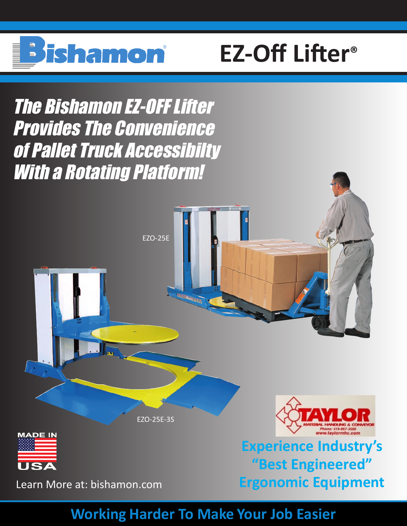

# **EZ-Off Lifter®**

The Bishamon EZ-OFFLifter Provides The Convenience of Pallet Truck Accessibilty With a Rotating Platform!



## **Working Harder To Make Your Job Easier**